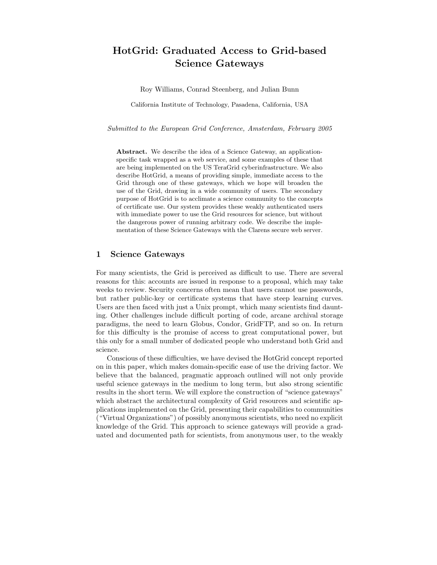# **HotGrid: Graduated Access to Grid-based Science Gateways**

Roy Williams, Conrad Steenberg, and Julian Bunn

California Institute of Technology, Pasadena, California, USA

*Submitted to the European Grid Conference, Amsterdam, February 2005*

**Abstract.** We describe the idea of a Science Gateway, an applicationspecific task wrapped as a web service, and some examples of these that are being implemented on the US TeraGrid cyberinfrastructure. We also describe HotGrid, a means of providing simple, immediate access to the Grid through one of these gateways, which we hope will broaden the use of the Grid, drawing in a wide community of users. The secondary purpose of HotGrid is to acclimate a science community to the concepts of certificate use. Our system provides these weakly authenticated users with immediate power to use the Grid resources for science, but without the dangerous power of running arbitrary code. We describe the implementation of these Science Gateways with the Clarens secure web server.

# **1 Science Gateways**

For many scientists, the Grid is perceived as difficult to use. There are several reasons for this: accounts are issued in response to a proposal, which may take weeks to review. Security concerns often mean that users cannot use passwords, but rather public-key or certificate systems that have steep learning curves. Users are then faced with just a Unix prompt, which many scientists find daunting. Other challenges include difficult porting of code, arcane archival storage paradigms, the need to learn Globus, Condor, GridFTP, and so on. In return for this difficulty is the promise of access to great computational power, but this only for a small number of dedicated people who understand both Grid and science.

Conscious of these difficulties, we have devised the HotGrid concept reported on in this paper, which makes domain-specific ease of use the driving factor. We believe that the balanced, pragmatic approach outlined will not only provide useful science gateways in the medium to long term, but also strong scientific results in the short term. We will explore the construction of "science gateways" which abstract the architectural complexity of Grid resources and scientific applications implemented on the Grid, presenting their capabilities to communities ("Virtual Organizations") of possibly anonymous scientists, who need no explicit knowledge of the Grid. This approach to science gateways will provide a graduated and documented path for scientists, from anonymous user, to the weakly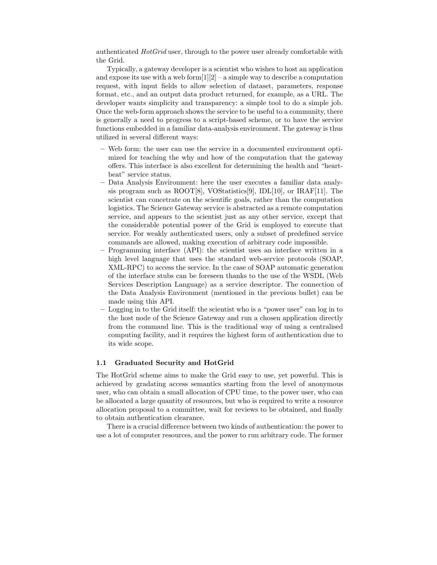authenticated *HotGrid* user, through to the power user already comfortable with the Grid.

Typically, a gateway developer is a scientist who wishes to host an application and expose its use with a web form  $\lfloor 1 \rfloor \lfloor 2 \rfloor$  – a simple way to describe a computation request, with input fields to allow selection of dataset, parameters, response format, etc., and an output data product returned, for example, as a URL. The developer wants simplicity and transparency: a simple tool to do a simple job. Once the web-form approach shows the service to be useful to a community, there is generally a need to progress to a script-based scheme, or to have the service functions embedded in a familiar data-analysis environment. The gateway is thus utilized in several different ways:

- **–** Web form: the user can use the service in a documented environment optimized for teaching the why and how of the computation that the gateway offers. This interface is also excellent for determining the health and "heartbeat" service status.
- **–** Data Analysis Environment: here the user executes a familiar data analysis program such as ROOT[8], VOStatistics[9], IDL[10], or IRAF[11]. The scientist can concetrate on the scientific goals, rather than the computation logistics. The Science Gateway service is abstracted as a remote computation service, and appears to the scientist just as any other service, except that the considerable potential power of the Grid is employed to execute that service. For weakly authenticated users, only a subset of predefined service commands are allowed, making execution of arbitrary code impossible.
- **–** Programming interface (API): the scientist uses an interface written in a high level language that uses the standard web-service protocols (SOAP, XML-RPC) to access the service. In the case of SOAP automatic generation of the interface stubs can be foreseen thanks to the use of the WSDL (Web Services Description Language) as a service descriptor. The connection of the Data Analysis Environment (mentioned in the previous bullet) can be made using this API.
- **–** Logging in to the Grid itself: the scientist who is a "power user" can log in to the host node of the Science Gateway and run a chosen application directly from the command line. This is the traditional way of using a centralised computing facility, and it requires the highest form of authentication due to its wide scope.

### **1.1 Graduated Security and HotGrid**

The HotGrid scheme aims to make the Grid easy to use, yet powerful. This is achieved by gradating access semantics starting from the level of anonymous user, who can obtain a small allocation of CPU time, to the power user, who can be allocated a large quantity of resources, but who is required to write a resource allocation proposal to a committee, wait for reviews to be obtained, and finally to obtain authentication clearance.

There is a crucial difference between two kinds of authentication: the power to use a lot of computer resources, and the power to run arbitrary code. The former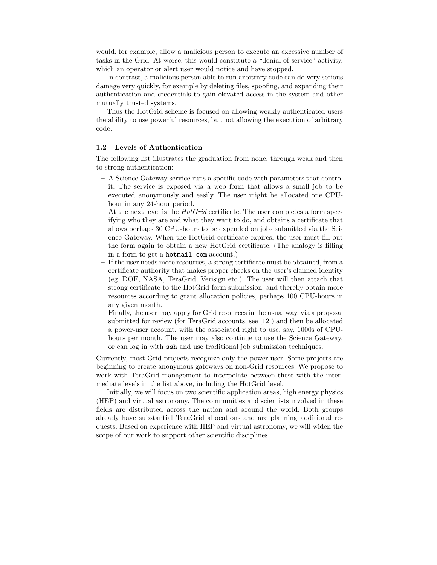would, for example, allow a malicious person to execute an excessive number of tasks in the Grid. At worse, this would constitute a "denial of service" activity, which an operator or alert user would notice and have stopped.

In contrast, a malicious person able to run arbitrary code can do very serious damage very quickly, for example by deleting files, spoofing, and expanding their authentication and credentials to gain elevated access in the system and other mutually trusted systems.

Thus the HotGrid scheme is focused on allowing weakly authenticated users the ability to use powerful resources, but not allowing the execution of arbitrary code.

## **1.2 Levels of Authentication**

The following list illustrates the graduation from none, through weak and then to strong authentication:

- **–** A Science Gateway service runs a specific code with parameters that control it. The service is exposed via a web form that allows a small job to be executed anonymously and easily. The user might be allocated one CPUhour in any 24-hour period.
- **–** At the next level is the *HotGrid* certificate. The user completes a form specifying who they are and what they want to do, and obtains a certificate that allows perhaps 30 CPU-hours to be expended on jobs submitted via the Science Gateway. When the HotGrid certificate expires, the user must fill out the form again to obtain a new HotGrid certificate. (The analogy is filling in a form to get a hotmail.com account.)
- **–** If the user needs more resources, a strong certificate must be obtained, from a certificate authority that makes proper checks on the user's claimed identity (eg. DOE, NASA, TeraGrid, Verisign etc.). The user will then attach that strong certificate to the HotGrid form submission, and thereby obtain more resources according to grant allocation policies, perhaps 100 CPU-hours in any given month.
- **–** Finally, the user may apply for Grid resources in the usual way, via a proposal submitted for review (for TeraGrid accounts, see [12]) and then be allocated a power-user account, with the associated right to use, say, 1000s of CPUhours per month. The user may also continue to use the Science Gateway, or can log in with ssh and use traditional job submission techniques.

Currently, most Grid projects recognize only the power user. Some projects are beginning to create anonymous gateways on non-Grid resources. We propose to work with TeraGrid management to interpolate between these with the intermediate levels in the list above, including the HotGrid level.

Initially, we will focus on two scientific application areas, high energy physics (HEP) and virtual astronomy. The communities and scientists involved in these fields are distributed across the nation and around the world. Both groups already have substantial TeraGrid allocations and are planning additional requests. Based on experience with HEP and virtual astronomy, we will widen the scope of our work to support other scientific disciplines.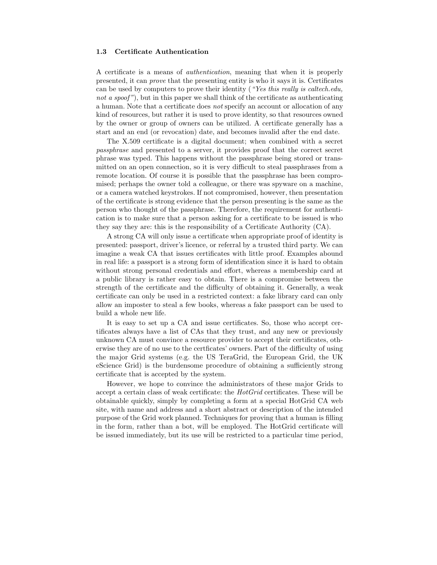### **1.3 Certificate Authentication**

A certificate is a means of *authentication*, meaning that when it is properly presented, it can *prove* that the presenting entity is who it says it is. Certificates can be used by computers to prove their identity (*"Yes this really is caltech.edu, not a spoof"*), but in this paper we shall think of the certificate as authenticating a human. Note that a certificate does *not* specify an account or allocation of any kind of resources, but rather it is used to prove identity, so that resources owned by the owner or group of owners can be utilized. A certificate generally has a start and an end (or revocation) date, and becomes invalid after the end date.

The X.509 certificate is a digital document; when combined with a secret *passphrase* and presented to a server, it provides proof that the correct secret phrase was typed. This happens without the passphrase being stored or transmitted on an open connection, so it is very difficult to steal passphrases from a remote location. Of course it is possible that the passphrase has been compromised; perhaps the owner told a colleague, or there was spyware on a machine, or a camera watched keystrokes. If not compromised, however, then presentation of the certificate is strong evidence that the person presenting is the same as the person who thought of the passphrase. Therefore, the requirement for authentication is to make sure that a person asking for a certificate to be issued is who they say they are: this is the responsibility of a Certificate Authority (CA).

A strong CA will only issue a certificate when appropriate proof of identity is presented: passport, driver's licence, or referral by a trusted third party. We can imagine a weak CA that issues certificates with little proof. Examples abound in real life: a passport is a strong form of identification since it is hard to obtain without strong personal credentials and effort, whereas a membership card at a public library is rather easy to obtain. There is a compromise between the strength of the certificate and the difficulty of obtaining it. Generally, a weak certificate can only be used in a restricted context: a fake library card can only allow an imposter to steal a few books, whereas a fake passport can be used to build a whole new life.

It is easy to set up a CA and issue certificates. So, those who accept certificates always have a list of CAs that they trust, and any new or previously unknown CA must convince a resource provider to accept their certificates, otherwise they are of no use to the certficates' owners. Part of the difficulty of using the major Grid systems (e.g. the US TeraGrid, the European Grid, the UK eScience Grid) is the burdensome procedure of obtaining a sufficiently strong certificate that is accepted by the system.

However, we hope to convince the administrators of these major Grids to accept a certain class of weak certificate: the *HotGrid* certificates. These will be obtainable quickly, simply by completing a form at a special HotGrid CA web site, with name and address and a short abstract or description of the intended purpose of the Grid work planned. Techniques for proving that a human is filling in the form, rather than a bot, will be employed. The HotGrid certificate will be issued immediately, but its use will be restricted to a particular time period,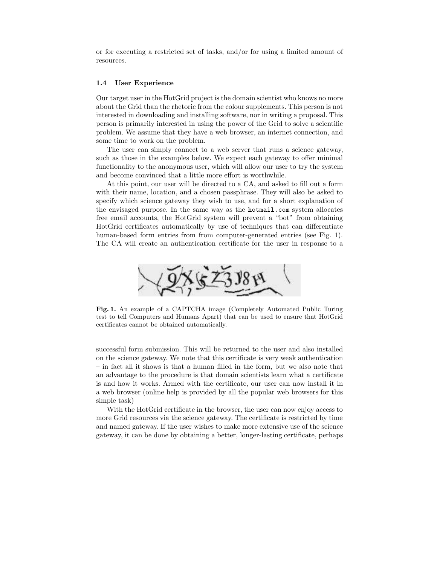or for executing a restricted set of tasks, and/or for using a limited amount of resources.

## **1.4 User Experience**

Our target user in the HotGrid project is the domain scientist who knows no more about the Grid than the rhetoric from the colour supplements. This person is not interested in downloading and installing software, nor in writing a proposal. This person is primarily interested in using the power of the Grid to solve a scientific problem. We assume that they have a web browser, an internet connection, and some time to work on the problem.

The user can simply connect to a web server that runs a science gateway, such as those in the examples below. We expect each gateway to offer minimal functionality to the anonymous user, which will allow our user to try the system and become convinced that a little more effort is worthwhile.

At this point, our user will be directed to a CA, and asked to fill out a form with their name, location, and a chosen passphrase. They will also be asked to specify which science gateway they wish to use, and for a short explanation of the envisaged purpose. In the same way as the hotmail.com system allocates free email accounts, the HotGrid system will prevent a "bot" from obtaining HotGrid certificates automatically by use of techniques that can differentiate human-based form entries from from computer-generated entries (see Fig. 1). The CA will create an authentication certificate for the user in response to a



**Fig. 1.** An example of a CAPTCHA image (Completely Automated Public Turing test to tell Computers and Humans Apart) that can be used to ensure that HotGrid certificates cannot be obtained automatically.

successful form submission. This will be returned to the user and also installed on the science gateway. We note that this certificate is very weak authentication – in fact all it shows is that a human filled in the form, but we also note that an advantage to the procedure is that domain scientists learn what a certificate is and how it works. Armed with the certificate, our user can now install it in a web browser (online help is provided by all the popular web browsers for this simple task)

With the HotGrid certificate in the browser, the user can now enjoy access to more Grid resources via the science gateway. The certificate is restricted by time and named gateway. If the user wishes to make more extensive use of the science gateway, it can be done by obtaining a better, longer-lasting certificate, perhaps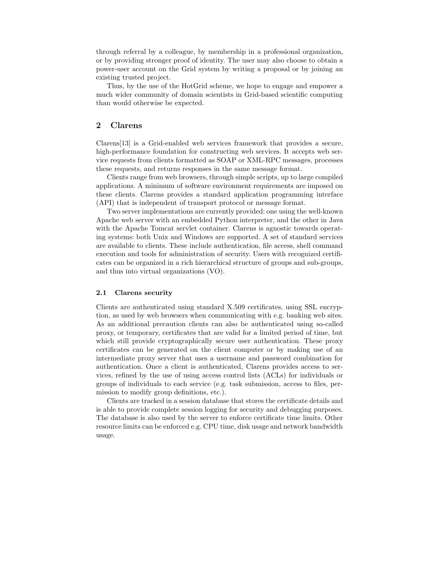through referral by a colleague, by membership in a professional organization, or by providing stronger proof of identity. The user may also choose to obtain a power-user account on the Grid system by writing a proposal or by joining an existing trusted project.

Thus, by the use of the HotGrid scheme, we hope to engage and empower a much wider community of domain scientists in Grid-based scientific computing than would otherwise be expected.

# **2 Clarens**

Clarens[13] is a Grid-enabled web services framework that provides a secure, high-performance foundation for constructing web services. It accepts web service requests from clients formatted as SOAP or XML-RPC messages, processes these requests, and returns responses in the same message format.

Clients range from web browsers, through simple scripts, up to large compiled applications. A minimum of software environment requirements are imposed on these clients. Clarens provides a standard application programming interface (API) that is independent of transport protocol or message format.

Two server implementations are currently provided: one using the well-known Apache web server with an embedded Python interpreter, and the other in Java with the Apache Tomcat servlet container. Clarens is agnostic towards operating systems: both Unix and Windows are supported. A set of standard services are available to clients. These include authentication, file access, shell command execution and tools for administration of security. Users with recognized certificates can be organized in a rich hierarchical structure of groups and sub-groups, and thus into virtual organizations (VO).

### **2.1 Clarens security**

Clients are authenticated using standard X.509 certificates, using SSL encryption, as used by web browsers when communicating with e.g. banking web sites. As an additional precaution clients can also be authenticated using so-called proxy, or temporary, certificates that are valid for a limited period of time, but which still provide cryptographically secure user authentication. These proxy certificates can be generated on the client computer or by making use of an intermediate proxy server that uses a username and password combination for authentication. Once a client is authenticated, Clarens provides access to services, refined by the use of using access control lists (ACLs) for individuals or groups of individuals to each service (e.g. task submission, access to files, permission to modify group definitions, etc.).

Clients are tracked in a session database that stores the certificate details and is able to provide complete session logging for security and debugging purposes. The database is also used by the server to enforce certificate time limits. Other resource limits can be enforced e.g. CPU time, disk usage and network bandwidth usage.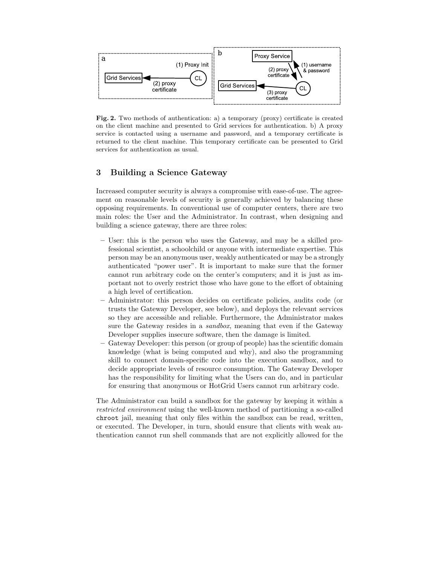

**Fig. 2.** Two methods of authentication: a) a temporary (proxy) certificate is created on the client machine and presented to Grid services for authentication. b) A proxy service is contacted using a username and password, and a temporary certificate is returned to the client machine. This temporary certificate can be presented to Grid services for authentication as usual.

# **3 Building a Science Gateway**

Increased computer security is always a compromise with ease-of-use. The agreement on reasonable levels of security is generally achieved by balancing these opposing requirements. In conventional use of computer centers, there are two main roles: the User and the Administrator. In contrast, when designing and building a science gateway, there are three roles:

- **–** User: this is the person who uses the Gateway, and may be a skilled professional scientist, a schoolchild or anyone with intermediate expertise. This person may be an anonymous user, weakly authenticated or may be a strongly authenticated "power user". It is important to make sure that the former cannot run arbitrary code on the center's computers; and it is just as important not to overly restrict those who have gone to the effort of obtaining a high level of certification.
- **–** Administrator: this person decides on certificate policies, audits code (or trusts the Gateway Developer, see below), and deploys the relevant services so they are accessible and reliable. Furthermore, the Administrator makes sure the Gateway resides in a *sandbox*, meaning that even if the Gateway Developer supplies insecure software, then the damage is limited.
- **–** Gateway Developer: this person (or group of people) has the scientific domain knowledge (what is being computed and why), and also the programming skill to connect domain-specific code into the execution sandbox, and to decide appropriate levels of resource consumption. The Gateway Developer has the responsibility for limiting what the Users can do, and in particular for ensuring that anonymous or HotGrid Users cannot run arbitrary code.

The Administrator can build a sandbox for the gateway by keeping it within a *restricted environment* using the well-known method of partitioning a so-called chroot jail, meaning that only files within the sandbox can be read, written, or executed. The Developer, in turn, should ensure that clients with weak authentication cannot run shell commands that are not explicitly allowed for the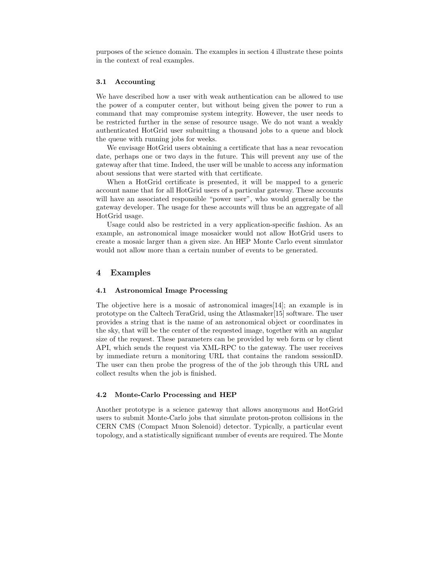purposes of the science domain. The examples in section 4 illustrate these points in the context of real examples.

#### **3.1 Accounting**

We have described how a user with weak authentication can be allowed to use the power of a computer center, but without being given the power to run a command that may compromise system integrity. However, the user needs to be restricted further in the sense of resource usage. We do not want a weakly authenticated HotGrid user submitting a thousand jobs to a queue and block the queue with running jobs for weeks.

We envisage HotGrid users obtaining a certificate that has a near revocation date, perhaps one or two days in the future. This will prevent any use of the gateway after that time. Indeed, the user will be unable to access any information about sessions that were started with that certificate.

When a HotGrid certificate is presented, it will be mapped to a generic account name that for all HotGrid users of a particular gateway. These accounts will have an associated responsible "power user", who would generally be the gateway developer. The usage for these accounts will thus be an aggregate of all HotGrid usage.

Usage could also be restricted in a very application-specific fashion. As an example, an astronomical image mosaicker would not allow HotGrid users to create a mosaic larger than a given size. An HEP Monte Carlo event simulator would not allow more than a certain number of events to be generated.

### **4 Examples**

### **4.1 Astronomical Image Processing**

The objective here is a mosaic of astronomical images  $[14]$ ; an example is in prototype on the Caltech TeraGrid, using the Atlasmaker[15] software. The user provides a string that is the name of an astronomical object or coordinates in the sky, that will be the center of the requested image, together with an angular size of the request. These parameters can be provided by web form or by client API, which sends the request via XML-RPC to the gateway. The user receives by immediate return a monitoring URL that contains the random sessionID. The user can then probe the progress of the of the job through this URL and collect results when the job is finished.

### **4.2 Monte-Carlo Processing and HEP**

Another prototype is a science gateway that allows anonymous and HotGrid users to submit Monte-Carlo jobs that simulate proton-proton collisions in the CERN CMS (Compact Muon Solenoid) detector. Typically, a particular event topology, and a statistically significant number of events are required. The Monte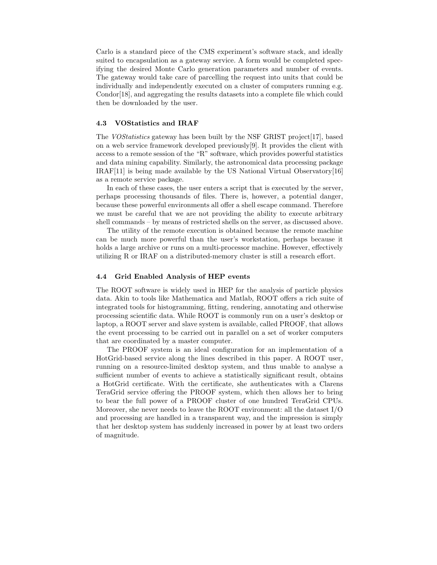Carlo is a standard piece of the CMS experiment's software stack, and ideally suited to encapsulation as a gateway service. A form would be completed specifying the desired Monte Carlo generation parameters and number of events. The gateway would take care of parcelling the request into units that could be individually and independently executed on a cluster of computers running e.g. Condor[18], and aggregating the results datasets into a complete file which could then be downloaded by the user.

#### **4.3 VOStatistics and IRAF**

The *VOStatistics* gateway has been built by the NSF GRIST project[17], based on a web service framework developed previously[9]. It provides the client with access to a remote session of the "R" software, which provides powerful statistics and data mining capability. Similarly, the astronomical data processing package IRAF[11] is being made available by the US National Virtual Observatory[16] as a remote service package.

In each of these cases, the user enters a script that is executed by the server, perhaps processing thousands of files. There is, however, a potential danger, because these powerful environments all offer a shell escape command. Therefore we must be careful that we are not providing the ability to execute arbitrary shell commands – by means of restricted shells on the server, as discussed above.

The utility of the remote execution is obtained because the remote machine can be much more powerful than the user's workstation, perhaps because it holds a large archive or runs on a multi-processor machine. However, effectively utilizing R or IRAF on a distributed-memory cluster is still a research effort.

### **4.4 Grid Enabled Analysis of HEP events**

The ROOT software is widely used in HEP for the analysis of particle physics data. Akin to tools like Mathematica and Matlab, ROOT offers a rich suite of integrated tools for histogramming, fitting, rendering, annotating and otherwise processing scientific data. While ROOT is commonly run on a user's desktop or laptop, a ROOT server and slave system is available, called PROOF, that allows the event processing to be carried out in parallel on a set of worker computers that are coordinated by a master computer.

The PROOF system is an ideal configuration for an implementation of a HotGrid-based service along the lines described in this paper. A ROOT user, running on a resource-limited desktop system, and thus unable to analyse a sufficient number of events to achieve a statistically significant result, obtains a HotGrid certificate. With the certificate, she authenticates with a Clarens TeraGrid service offering the PROOF system, which then allows her to bring to bear the full power of a PROOF cluster of one hundred TeraGrid CPUs. Moreover, she never needs to leave the ROOT environment: all the dataset I/O and processing are handled in a transparent way, and the impression is simply that her desktop system has suddenly increased in power by at least two orders of magnitude.